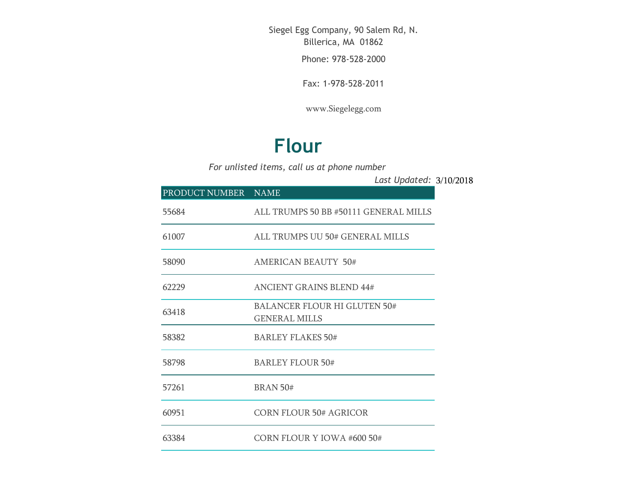Siegel Egg Company, 90 Salem Rd, N. Billerica, MA 01862

Phone: 978-528-2000

Fax: 1-978-528-2011

[www.Siegelegg.com](http://www.siegelegg.com/)

## **Flour**

*For unlisted items, call us at phone number*

3/10/2018 *Last Updated:*

| PRODUCT NUMBER NAME |                                                      |
|---------------------|------------------------------------------------------|
| 55684               | ALL TRUMPS 50 BB #50111 GENERAL MILLS                |
| 61007               | ALL TRUMPS UU 50# GENERAL MILLS                      |
| 58090               | <b>AMERICAN BEAUTY 50#</b>                           |
| 62229               | <b>ANCIENT GRAINS BLEND 44#</b>                      |
| 63418               | BALANCER FLOUR HI GLUTEN 50#<br><b>GENERAL MILLS</b> |
| 58382               | BARLEY FLAKES 50#                                    |
| 58798               | <b>BARLEY FLOUR 50#</b>                              |
| 57261               | <b>BRAN 50#</b>                                      |
| 60951               | CORN FLOUR 50# AGRICOR                               |
| 63384               | CORN FLOUR Y IOWA #600 50#                           |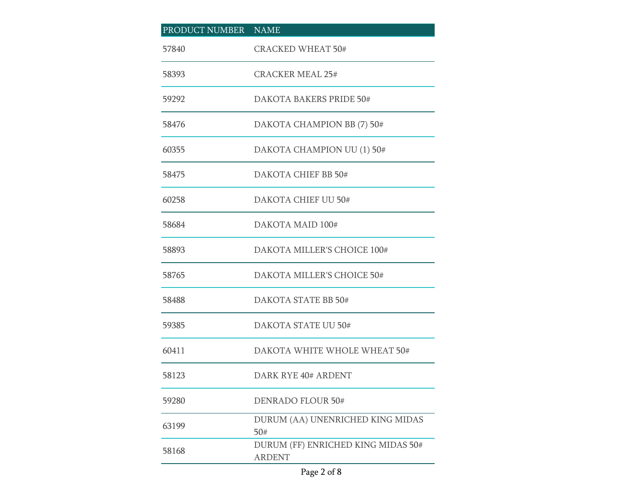| PRODUCT NUMBER NAME |                                                     |
|---------------------|-----------------------------------------------------|
| 57840               | <b>CRACKED WHEAT 50#</b>                            |
| 58393               | <b>CRACKER MEAL 25#</b>                             |
| 59292               | DAKOTA BAKERS PRIDE 50#                             |
| 58476               | DAKOTA CHAMPION BB (7) 50#                          |
| 60355               | DAKOTA CHAMPION UU (1) 50#                          |
| 58475               | DAKOTA CHIEF BB 50#                                 |
| 60258               | DAKOTA CHIEF UU 50#                                 |
| 58684               | DAKOTA MAID 100#                                    |
| 58893               | DAKOTA MILLER'S CHOICE 100#                         |
| 58765               | DAKOTA MILLER'S CHOICE 50#                          |
| 58488               | DAKOTA STATE BB 50#                                 |
| 59385               | DAKOTA STATE UU 50#                                 |
| 60411               | DAKOTA WHITE WHOLE WHEAT 50#                        |
| 58123               | DARK RYE 40# ARDENT                                 |
| 59280               | <b>DENRADO FLOUR 50#</b>                            |
| 63199               | DURUM (AA) UNENRICHED KING MIDAS<br>50#             |
| 58168               | DURUM (FF) ENRICHED KING MIDAS 50#<br><b>ARDENT</b> |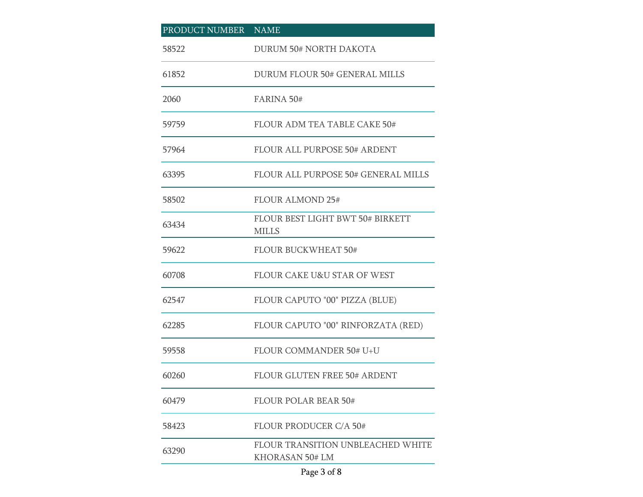| PRODUCT NUMBER NAME |                                                      |
|---------------------|------------------------------------------------------|
| 58522               | <b>DURUM 50# NORTH DAKOTA</b>                        |
| 61852               | <b>DURUM FLOUR 50# GENERAL MILLS</b>                 |
| 2060                | <b>FARINA 50#</b>                                    |
| 59759               | <b>FLOUR ADM TEA TABLE CAKE 50#</b>                  |
| 57964               | <b>FLOUR ALL PURPOSE 50# ARDENT</b>                  |
| 63395               | <b>FLOUR ALL PURPOSE 50# GENERAL MILLS</b>           |
| 58502               | <b>FLOUR ALMOND 25#</b>                              |
| 63434               | FLOUR BEST LIGHT BWT 50# BIRKETT<br><b>MILLS</b>     |
| 59622               | <b>FLOUR BUCKWHEAT 50#</b>                           |
| 60708               | <b>FLOUR CAKE U&amp;U STAR OF WEST</b>               |
| 62547               | FLOUR CAPUTO "00" PIZZA (BLUE)                       |
| 62285               | FLOUR CAPUTO "00" RINFORZATA (RED)                   |
| 59558               | <b>FLOUR COMMANDER 50# U+U</b>                       |
| 60260               | FLOUR GLUTEN FREE 50# ARDENT                         |
| 60479               | <b>FLOUR POLAR BEAR 50#</b>                          |
| 58423               | <b>FLOUR PRODUCER C/A 50#</b>                        |
| 63290               | FLOUR TRANSITION UNBLEACHED WHITE<br>KHORASAN 50# LM |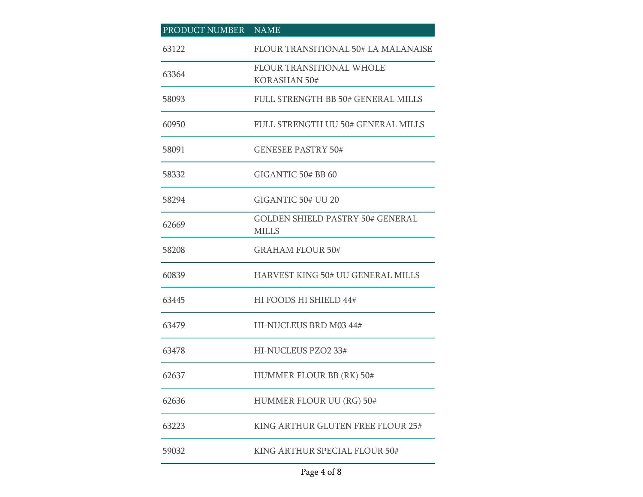| PRODUCT NUMBER NAME |                                                         |
|---------------------|---------------------------------------------------------|
| 63122               | <b>FLOUR TRANSITIONAL 50# LA MALANAISE</b>              |
| 63364               | FLOUR TRANSITIONAL WHOLE<br><b>KORASHAN 50#</b>         |
| 58093               | FULL STRENGTH BB 50# GENERAL MILLS                      |
| 60950               | FULL STRENGTH UU 50# GENERAL MILLS                      |
| 58091               | <b>GENESEE PASTRY 50#</b>                               |
| 58332               | GIGANTIC 50# BB 60                                      |
| 58294               | GIGANTIC 50# UU 20                                      |
| 62669               | <b>GOLDEN SHIELD PASTRY 50# GENERAL</b><br><b>MILLS</b> |
| 58208               | <b>GRAHAM FLOUR 50#</b>                                 |
| 60839               | HARVEST KING 50# UU GENERAL MILLS                       |
| 63445               | HI FOODS HI SHIELD 44#                                  |
| 63479               | HI-NUCLEUS BRD M03 44#                                  |
| 63478               | HI-NUCLEUS PZO2 33#                                     |
| 62637               | HUMMER FLOUR BB (RK) 50#                                |
| 62636               | HUMMER FLOUR UU (RG) 50#                                |
| 63223               | KING ARTHUR GLUTEN FREE FLOUR 25#                       |
| 59032               | KING ARTHUR SPECIAL FLOUR 50#                           |

## Page 4 of 8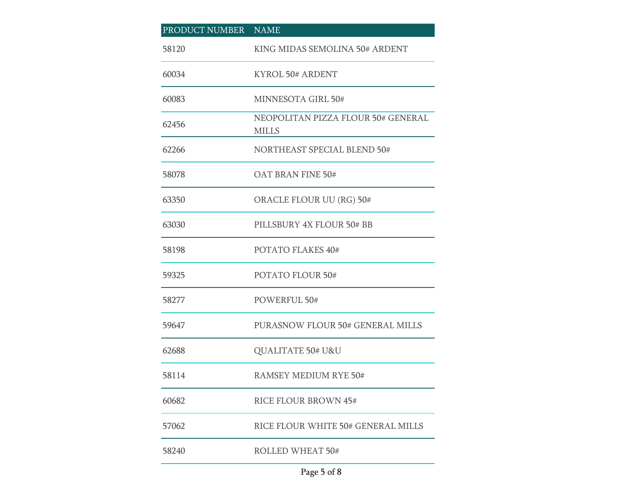| PRODUCT NUMBER NAME |                                                    |
|---------------------|----------------------------------------------------|
| 58120               | KING MIDAS SEMOLINA 50# ARDENT                     |
| 60034               | KYROL 50# ARDENT                                   |
| 60083               | MINNESOTA GIRL 50#                                 |
| 62456               | NEOPOLITAN PIZZA FLOUR 50# GENERAL<br><b>MILLS</b> |
| 62266               | <b>NORTHEAST SPECIAL BLEND 50#</b>                 |
| 58078               | OAT BRAN FINE 50#                                  |
| 63350               | ORACLE FLOUR UU (RG) 50#                           |
| 63030               | PILLSBURY 4X FLOUR 50# BB                          |
| 58198               | POTATO FLAKES 40#                                  |
| 59325               | <b>POTATO FLOUR 50#</b>                            |
| 58277               | POWERFUL 50#                                       |
| 59647               | PURASNOW FLOUR 50# GENERAL MILLS                   |
| 62688               | QUALITATE 50# U&U                                  |
| 58114               | <b>RAMSEY MEDIUM RYE 50#</b>                       |
| 60682               | RICE FLOUR BROWN 45#                               |
| 57062               | RICE FLOUR WHITE 50# GENERAL MILLS                 |
| 58240               | <b>ROLLED WHEAT 50#</b>                            |

## Page 5 of 8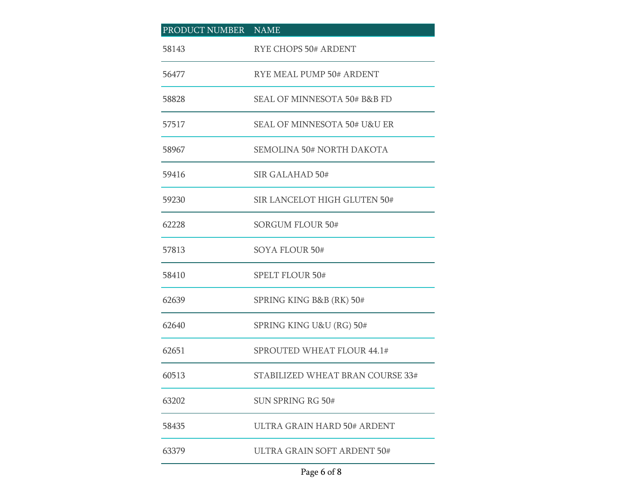| PRODUCT NUMBER NAME |                                         |
|---------------------|-----------------------------------------|
| 58143               | <b>RYE CHOPS 50# ARDENT</b>             |
| 56477               | RYE MEAL PUMP 50# ARDENT                |
| 58828               | <b>SEAL OF MINNESOTA 50# B&amp;B FD</b> |
| 57517               | <b>SEAL OF MINNESOTA 50# U&amp;U ER</b> |
| 58967               | SEMOLINA 50# NORTH DAKOTA               |
| 59416               | SIR GALAHAD 50#                         |
| 59230               | SIR LANCELOT HIGH GLUTEN 50#            |
| 62228               | <b>SORGUM FLOUR 50#</b>                 |
| 57813               | SOYA FLOUR 50#                          |
| 58410               | <b>SPELT FLOUR 50#</b>                  |
| 62639               | SPRING KING B&B (RK) 50#                |
| 62640               | SPRING KING U&U (RG) 50#                |
| 62651               | SPROUTED WHEAT FLOUR 44.1#              |
| 60513               | STABILIZED WHEAT BRAN COURSE 33#        |
| 63202               | SUN SPRING RG 50#                       |
| 58435               | ULTRA GRAIN HARD 50# ARDENT             |
| 63379               | ULTRA GRAIN SOFT ARDENT 50#             |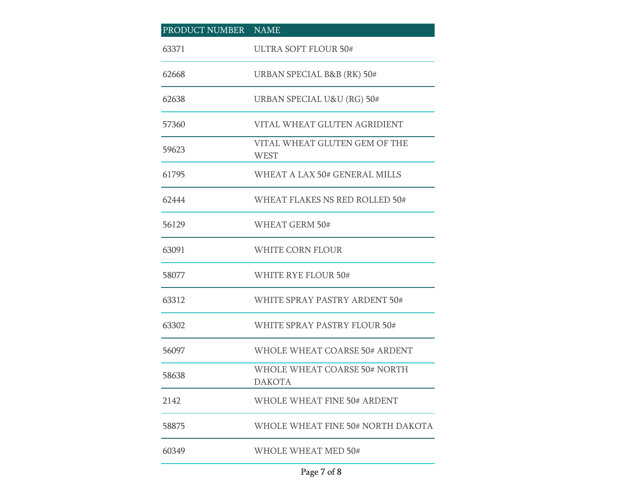| PRODUCT NUMBER NAME |                                               |
|---------------------|-----------------------------------------------|
| 63371               | <b>ULTRA SOFT FLOUR 50#</b>                   |
| 62668               | URBAN SPECIAL B&B (RK) 50#                    |
| 62638               | URBAN SPECIAL U&U (RG) 50#                    |
| 57360               | VITAL WHEAT GLUTEN AGRIDIENT                  |
| 59623               | VITAL WHEAT GLUTEN GEM OF THE<br><b>WEST</b>  |
| 61795               | WHEAT A LAX 50# GENERAL MILLS                 |
| 62444               | WHEAT FLAKES NS RED ROLLED 50#                |
| 56129               | WHEAT GERM 50#                                |
| 63091               | WHITE CORN FLOUR                              |
| 58077               | WHITE RYE FLOUR 50#                           |
| 63312               | WHITE SPRAY PASTRY ARDENT 50#                 |
| 63302               | WHITE SPRAY PASTRY FLOUR 50#                  |
| 56097               | WHOLE WHEAT COARSE 50# ARDENT                 |
| 58638               | WHOLE WHEAT COARSE 50# NORTH<br><b>DAKOTA</b> |
| 2142                | <b>WHOLE WHEAT FINE 50# ARDENT</b>            |
| 58875               | WHOLE WHEAT FINE 50# NORTH DAKOTA             |
| 60349               | WHOLE WHEAT MED 50#                           |